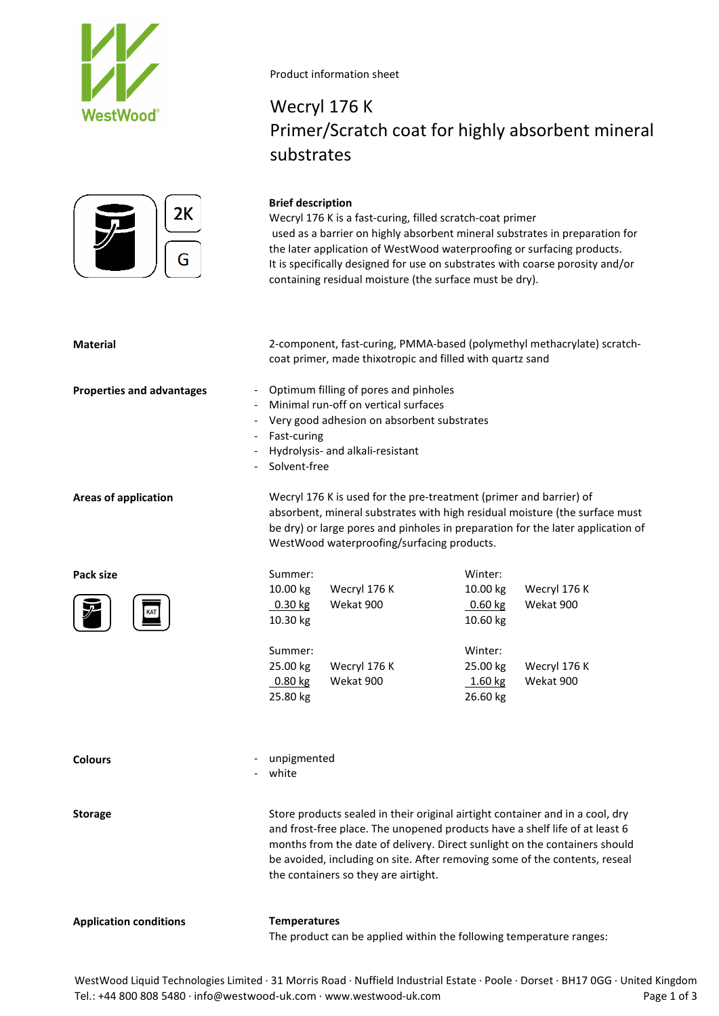



### Product information sheet

**Brief description**

## Wecryl 176 K Primer/Scratch coat for highly absorbent mineral substrates

used as a barrier on highly absorbent mineral substrates in preparation for the later application of WestWood waterproofing or surfacing products.

Wecryl 176 K is a fast-curing, filled scratch-coat primer

## It is specifically designed for use on substrates with coarse porosity and/or containing residual moisture (the surface must be dry). **Material** 2-component, fast-curing, PMMA-based (polymethyl methacrylate) scratchcoat primer, made thixotropic and filled with quartz sand **Properties and advantages** - Optimum filling of pores and pinholes - Minimal run-off on vertical surfaces Very good adhesion on absorbent substrates Fast-curing - Hydrolysis- and alkali-resistant Solvent-free **Areas of application** Wecryl 176 K is used for the pre-treatment (primer and barrier) of absorbent, mineral substrates with high residual moisture (the surface must be dry) or large pores and pinholes in preparation for the later application of WestWood waterproofing/surfacing products. Pack size **Summer:** Summer: **Example 2018** Winter: 10.00 kg Wecryl 176 K 10.00 kg Wecryl 176 K 0.30 kg Wekat 900 0.60 kg Wekat 900 10.30 kg 10.60 kg Summer: Winter: 25.00 kg Wecryl 176 K 25.00 kg Wecryl 176 K 0.80 kg 25.80 kg Wekat 900 1.60 kg 26.60 kg Wekat 900 - unpigmented white

**Storage** Store products sealed in their original airtight container and in a cool, dry and frost-free place. The unopened products have a shelf life of at least 6 months from the date of delivery. Direct sunlight on the containers should be avoided, including on site. After removing some of the contents, reseal the containers so they are airtight.

**Application conditions Temperatures**

**Colours**

The product can be applied within the following temperature ranges:

WestWood Liquid Technologies Limited · 31 Morris Road · Nuffield Industrial Estate · Poole · Dorset · BH17 0GG · United Kingdom Tel.: +44 800 808 5480 · info@westwood-uk.com · www.westwood-uk.com example are research to the Page 1 of 3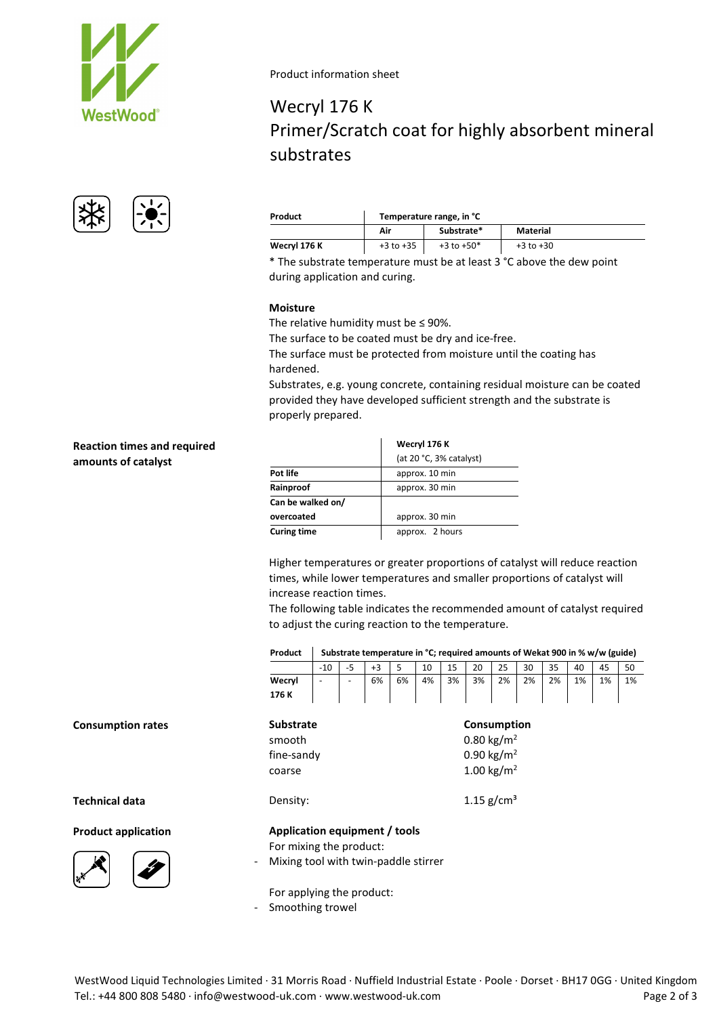



#### Product information sheet

## Wecryl 176 K Primer/Scratch coat for highly absorbent mineral substrates

| Product      | Temperature range, in °C |                |               |  |  |  |  |  |  |
|--------------|--------------------------|----------------|---------------|--|--|--|--|--|--|
|              | Substrate*<br>Air        |                | Material      |  |  |  |  |  |  |
| Wecryl 176 K | $+3$ to $+35$            | $+3$ to $+50*$ | $+3$ to $+30$ |  |  |  |  |  |  |

\* The substrate temperature must be at least 3 °C above the dew point during application and curing.

#### **Moisture**

The relative humidity must be ≤ 90%.

The surface to be coated must be dry and ice-free.

The surface must be protected from moisture until the coating has hardened.

Substrates, e.g. young concrete, containing residual moisture can be coated provided they have developed sufficient strength and the substrate is properly prepared.

| <b>Reaction times and required</b> |
|------------------------------------|
| amounts of catalyst                |

**Consumption rates** 

**Technical data** 

**Product application** 

|                    | Wecryl 176 K            |  |  |  |
|--------------------|-------------------------|--|--|--|
|                    | (at 20 °C, 3% catalyst) |  |  |  |
| Pot life           | approx. 10 min          |  |  |  |
| Rainproof          | approx. 30 min          |  |  |  |
| Can be walked on/  |                         |  |  |  |
| overcoated         | approx. 30 min          |  |  |  |
| <b>Curing time</b> | approx. 2 hours         |  |  |  |

Higher temperatures or greater proportions of catalyst will reduce reaction times, while lower temperatures and smaller proportions of catalyst will

The following table indicates the recommended amount of catalyst required to adjust the curing reaction to the temperature.

**Product Substrate temperature in °C; required amounts of Wekat 900 in % w/w (guide)**

|                                      | $-10$ | -5 | $+3$ | 5  | 10 | 15 | 20                     | 25                     | 30 | 35 | 40 | 45 | 50 |  |
|--------------------------------------|-------|----|------|----|----|----|------------------------|------------------------|----|----|----|----|----|--|
| Wecryl                               |       |    | 6%   | 6% | 4% | 3% | 3%                     | 2%                     | 2% | 2% | 1% | 1% | 1% |  |
| 176 K                                |       |    |      |    |    |    |                        |                        |    |    |    |    |    |  |
| <b>Substrate</b>                     |       |    |      |    |    |    |                        | Consumption            |    |    |    |    |    |  |
| smooth                               |       |    |      |    |    |    |                        | 0.80 kg/m <sup>2</sup> |    |    |    |    |    |  |
| fine-sandy                           |       |    |      |    |    |    | 0.90 kg/m <sup>2</sup> |                        |    |    |    |    |    |  |
| coarse                               |       |    |      |    |    |    |                        | 1.00 kg/m <sup>2</sup> |    |    |    |    |    |  |
| Density:                             |       |    |      |    |    |    | 1.15 $g/cm^{3}$        |                        |    |    |    |    |    |  |
| Application equipment / tools        |       |    |      |    |    |    |                        |                        |    |    |    |    |    |  |
| For mixing the product:              |       |    |      |    |    |    |                        |                        |    |    |    |    |    |  |
| Mixing tool with twin-paddle stirrer |       |    |      |    |    |    |                        |                        |    |    |    |    |    |  |
| For applying the product:            |       |    |      |    |    |    |                        |                        |    |    |    |    |    |  |
|                                      |       |    |      |    |    |    |                        |                        |    |    |    |    |    |  |

- Smoothing trowel

# increase reaction times.

WestWood Liquid Technologies Limited · 31 Morris Road · Nuffield Industrial Estate · Poole · Dorset · BH17 0GG · United Kingdom Tel.: +44 800 808 5480 · info@westwood-uk.com · www.westwood-uk.com example are example as a Page 2 of 3